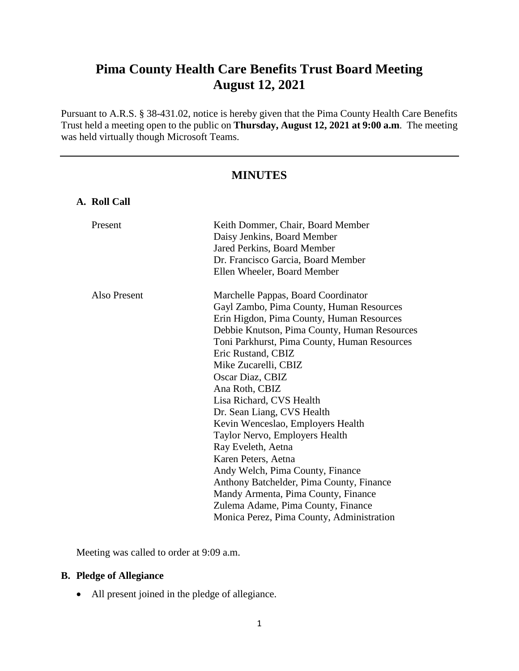# **Pima County Health Care Benefits Trust Board Meeting August 12, 2021**

Pursuant to A.R.S. § 38-431.02, notice is hereby given that the Pima County Health Care Benefits Trust held a meeting open to the public on **Thursday, August 12, 2021 at 9:00 a.m**. The meeting was held virtually though Microsoft Teams.

# **MINUTES**

| A. Roll Call |                                                                                                                                       |
|--------------|---------------------------------------------------------------------------------------------------------------------------------------|
| Present      | Keith Dommer, Chair, Board Member<br>Daisy Jenkins, Board Member<br>Jared Perkins, Board Member<br>Dr. Francisco Garcia, Board Member |
|              | Ellen Wheeler, Board Member                                                                                                           |
| Also Present | Marchelle Pappas, Board Coordinator                                                                                                   |
|              | Gayl Zambo, Pima County, Human Resources                                                                                              |
|              | Erin Higdon, Pima County, Human Resources                                                                                             |
|              | Debbie Knutson, Pima County, Human Resources                                                                                          |
|              | Toni Parkhurst, Pima County, Human Resources                                                                                          |
|              | Eric Rustand, CBIZ                                                                                                                    |
|              | Mike Zucarelli, CBIZ                                                                                                                  |
|              | Oscar Diaz, CBIZ                                                                                                                      |
|              | Ana Roth, CBIZ                                                                                                                        |
|              | Lisa Richard, CVS Health                                                                                                              |
|              | Dr. Sean Liang, CVS Health                                                                                                            |
|              | Kevin Wenceslao, Employers Health                                                                                                     |
|              | Taylor Nervo, Employers Health                                                                                                        |
|              | Ray Eveleth, Aetna                                                                                                                    |
|              | Karen Peters, Aetna                                                                                                                   |
|              | Andy Welch, Pima County, Finance                                                                                                      |
|              | Anthony Batchelder, Pima County, Finance                                                                                              |
|              | Mandy Armenta, Pima County, Finance                                                                                                   |
|              | Zulema Adame, Pima County, Finance                                                                                                    |
|              | Monica Perez, Pima County, Administration                                                                                             |

Meeting was called to order at 9:09 a.m.

# **B. Pledge of Allegiance**

All present joined in the pledge of allegiance.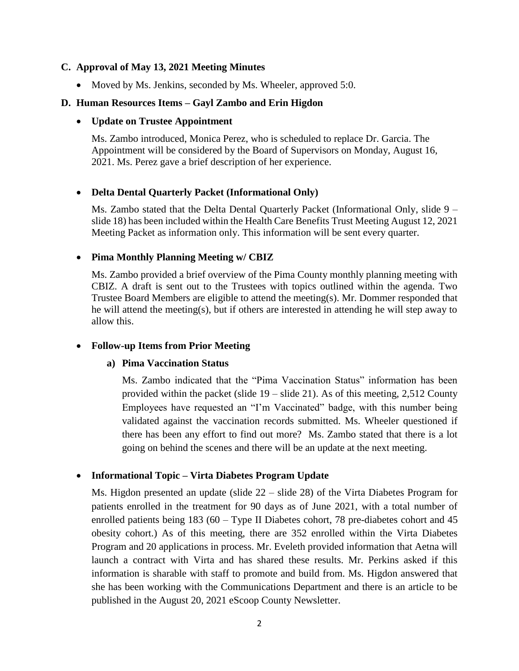#### **C. Approval of May 13, 2021 Meeting Minutes**

• Moved by Ms. Jenkins, seconded by Ms. Wheeler, approved 5:0.

#### **D. Human Resources Items – Gayl Zambo and Erin Higdon**

#### **Update on Trustee Appointment**

Ms. Zambo introduced, Monica Perez, who is scheduled to replace Dr. Garcia. The Appointment will be considered by the Board of Supervisors on Monday, August 16, 2021. Ms. Perez gave a brief description of her experience.

#### **Delta Dental Quarterly Packet (Informational Only)**

Ms. Zambo stated that the Delta Dental Quarterly Packet (Informational Only, slide 9 – slide 18) has been included within the Health Care Benefits Trust Meeting August 12, 2021 Meeting Packet as information only. This information will be sent every quarter.

#### **Pima Monthly Planning Meeting w/ CBIZ**

Ms. Zambo provided a brief overview of the Pima County monthly planning meeting with CBIZ. A draft is sent out to the Trustees with topics outlined within the agenda. Two Trustee Board Members are eligible to attend the meeting(s). Mr. Dommer responded that he will attend the meeting(s), but if others are interested in attending he will step away to allow this.

#### **Follow-up Items from Prior Meeting**

#### **a) Pima Vaccination Status**

Ms. Zambo indicated that the "Pima Vaccination Status" information has been provided within the packet (slide 19 – slide 21). As of this meeting, 2,512 County Employees have requested an "I'm Vaccinated" badge, with this number being validated against the vaccination records submitted. Ms. Wheeler questioned if there has been any effort to find out more? Ms. Zambo stated that there is a lot going on behind the scenes and there will be an update at the next meeting.

#### **Informational Topic – Virta Diabetes Program Update**

Ms. Higdon presented an update (slide 22 – slide 28) of the Virta Diabetes Program for patients enrolled in the treatment for 90 days as of June 2021, with a total number of enrolled patients being 183 (60 – Type II Diabetes cohort, 78 pre-diabetes cohort and 45 obesity cohort.) As of this meeting, there are 352 enrolled within the Virta Diabetes Program and 20 applications in process. Mr. Eveleth provided information that Aetna will launch a contract with Virta and has shared these results. Mr. Perkins asked if this information is sharable with staff to promote and build from. Ms. Higdon answered that she has been working with the Communications Department and there is an article to be published in the August 20, 2021 eScoop County Newsletter.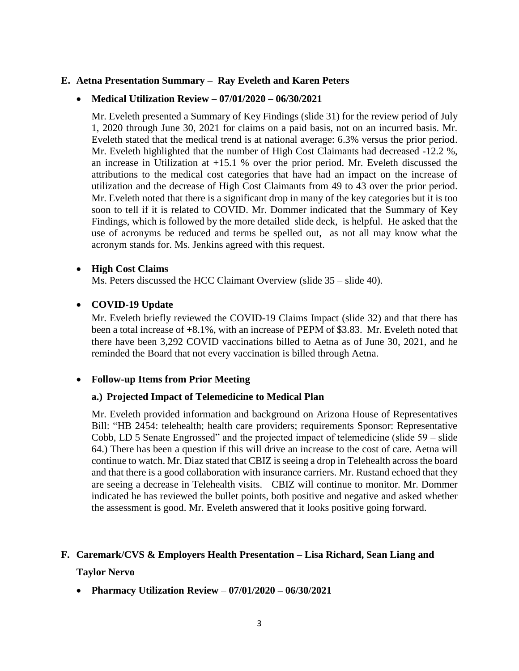#### **E. Aetna Presentation Summary – Ray Eveleth and Karen Peters**

#### **Medical Utilization Review – 07/01/2020 – 06/30/2021**

Mr. Eveleth presented a Summary of Key Findings (slide 31) for the review period of July 1, 2020 through June 30, 2021 for claims on a paid basis, not on an incurred basis. Mr. Eveleth stated that the medical trend is at national average: 6.3% versus the prior period. Mr. Eveleth highlighted that the number of High Cost Claimants had decreased -12.2 %, an increase in Utilization at +15.1 % over the prior period. Mr. Eveleth discussed the attributions to the medical cost categories that have had an impact on the increase of utilization and the decrease of High Cost Claimants from 49 to 43 over the prior period. Mr. Eveleth noted that there is a significant drop in many of the key categories but it is too soon to tell if it is related to COVID. Mr. Dommer indicated that the Summary of Key Findings, which is followed by the more detailed slide deck, is helpful. He asked that the use of acronyms be reduced and terms be spelled out, as not all may know what the acronym stands for. Ms. Jenkins agreed with this request.

#### **High Cost Claims**

Ms. Peters discussed the HCC Claimant Overview (slide 35 – slide 40).

#### **COVID-19 Update**

Mr. Eveleth briefly reviewed the COVID-19 Claims Impact (slide 32) and that there has been a total increase of +8.1%, with an increase of PEPM of \$3.83. Mr. Eveleth noted that there have been 3,292 COVID vaccinations billed to Aetna as of June 30, 2021, and he reminded the Board that not every vaccination is billed through Aetna.

#### **Follow-up Items from Prior Meeting**

#### **a.) Projected Impact of Telemedicine to Medical Plan**

Mr. Eveleth provided information and background on Arizona House of Representatives Bill: "HB 2454: telehealth; health care providers; requirements Sponsor: Representative Cobb, LD 5 Senate Engrossed" and the projected impact of telemedicine (slide 59 – slide 64.) There has been a question if this will drive an increase to the cost of care. Aetna will continue to watch. Mr. Diaz stated that CBIZ is seeing a drop in Telehealth across the board and that there is a good collaboration with insurance carriers. Mr. Rustand echoed that they are seeing a decrease in Telehealth visits. CBIZ will continue to monitor. Mr. Dommer indicated he has reviewed the bullet points, both positive and negative and asked whether the assessment is good. Mr. Eveleth answered that it looks positive going forward.

#### **F. Caremark/CVS & Employers Health Presentation – Lisa Richard, Sean Liang and**

#### **Taylor Nervo**

**Pharmacy Utilization Review** – **07/01/2020 – 06/30/2021**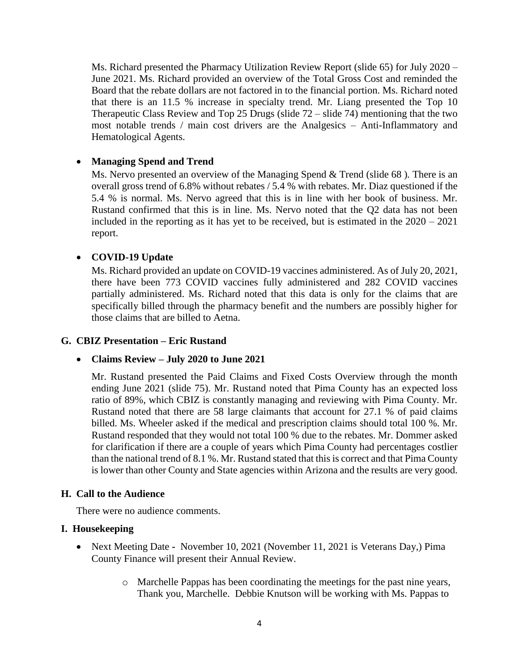Ms. Richard presented the Pharmacy Utilization Review Report (slide 65) for July 2020 – June 2021. Ms. Richard provided an overview of the Total Gross Cost and reminded the Board that the rebate dollars are not factored in to the financial portion. Ms. Richard noted that there is an 11.5 % increase in specialty trend. Mr. Liang presented the Top 10 Therapeutic Class Review and Top 25 Drugs (slide  $72 -$  slide 74) mentioning that the two most notable trends / main cost drivers are the Analgesics – Anti-Inflammatory and Hematological Agents.

# **Managing Spend and Trend**

Ms. Nervo presented an overview of the Managing Spend & Trend (slide 68 )*.* There is an overall gross trend of 6.8% without rebates / 5.4 % with rebates. Mr. Diaz questioned if the 5.4 % is normal. Ms. Nervo agreed that this is in line with her book of business. Mr. Rustand confirmed that this is in line. Ms. Nervo noted that the Q2 data has not been included in the reporting as it has yet to be received, but is estimated in the 2020 – 2021 report.

## **COVID-19 Update**

Ms. Richard provided an update on COVID-19 vaccines administered. As of July 20, 2021, there have been 773 COVID vaccines fully administered and 282 COVID vaccines partially administered. Ms. Richard noted that this data is only for the claims that are specifically billed through the pharmacy benefit and the numbers are possibly higher for those claims that are billed to Aetna.

#### **G. CBIZ Presentation – Eric Rustand**

#### **Claims Review – July 2020 to June 2021**

Mr. Rustand presented the Paid Claims and Fixed Costs Overview through the month ending June 2021 (slide 75). Mr. Rustand noted that Pima County has an expected loss ratio of 89%, which CBIZ is constantly managing and reviewing with Pima County. Mr. Rustand noted that there are 58 large claimants that account for 27.1 % of paid claims billed. Ms. Wheeler asked if the medical and prescription claims should total 100 %. Mr. Rustand responded that they would not total 100 % due to the rebates. Mr. Dommer asked for clarification if there are a couple of years which Pima County had percentages costlier than the national trend of 8.1 %. Mr. Rustand stated that this is correct and that Pima County is lower than other County and State agencies within Arizona and the results are very good.

#### **H. Call to the Audience**

There were no audience comments.

#### **I. Housekeeping**

- Next Meeting Date **-** November 10, 2021 (November 11, 2021 is Veterans Day,) Pima County Finance will present their Annual Review.
	- o Marchelle Pappas has been coordinating the meetings for the past nine years, Thank you, Marchelle. Debbie Knutson will be working with Ms. Pappas to